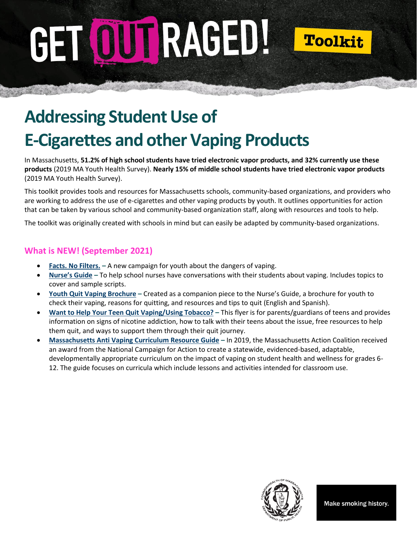# GET OUTRAGED!



# **Addressing Student Use of E-Cigarettes and other Vaping Products**

In Massachusetts, **51.2% of high school students have tried electronic vapor products, and 32% currently use these products** (2019 MA Youth Health Survey). **Nearly 15% of middle school students have tried electronic vapor products** (2019 MA Youth Health Survey).

This toolkit provides tools and resources for Massachusetts schools, community-based organizations, and providers who are working to address the use of e-cigarettes and other vaping products by youth. It outlines opportunities for action that can be taken by various school and community-based organization staff, along with resources and tools to help.

The toolkit was originally created with schools in mind but can easily be adapted by community-based organizations.

### **What is NEW! (September 2021)**

- **[Facts. No Filters.](https://www.mass.gov/facts-no-filters) –** A new campaign for youth about the dangers of vaping.
- **[Nurse's Guide](https://massclearinghouse.ehs.state.ma.us/PROG-TOB/TC3485.html) –** To help school nurses have conversations with their students about vaping. Includes topics to cover and sample scripts.
- **[Youth Quit Vaping Brochure](https://massclearinghouse.ehs.state.ma.us/PROG-TOB/TC3488kit.html) –** Created as a companion piece to the Nurse's Guide, a brochure for youth to check their vaping, reasons for quitting, and resources and tips to quit (English and Spanish).
- **[Want to Help Your Teen Quit Vaping/Using Tobacco?](https://massclearinghouse.ehs.state.ma.us/PROG-TOB/TC3486kit.html) –** This flyer is for parents/guardians of teens and provides information on signs of nicotine addiction, how to talk with their teens about the issue, free resources to help them quit, and ways to support them through their quit journey.
- **[Massachusetts Anti Vaping Curriculum Resource Guide](https://www.norton.k12.ma.us/uploaded/District/MAAntiVapingCurriculumGuideMay2021FinalVersion.pdf) –** In 2019, the Massachusetts Action Coalition received an award from the National Campaign for Action to create a statewide, evidenced-based, adaptable, developmentally appropriate curriculum on the impact of vaping on student health and wellness for grades 6- 12. The guide focuses on curricula which include lessons and activities intended for classroom use.

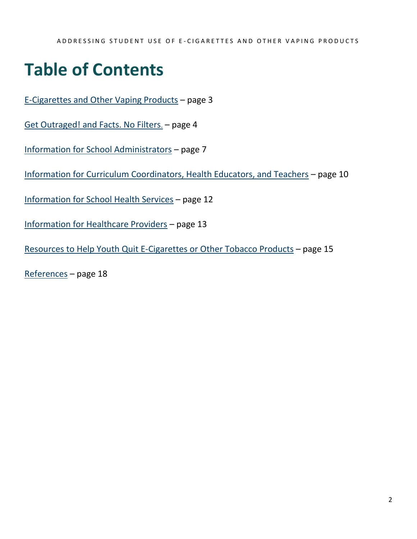## **Table of Contents**

[E-Cigarettes and Other Vaping Products](#page-2-0) – page 3

[Get Outraged! and Facts. No Filters](#page-3-0)[.](#page-3-0) – page 4

[Information for School Administrators](#page-6-0) – page 7

[Information for Curriculum Coordinators, Health Educators, and Teachers](#page-9-0) – page 10

[Information for School Health Services](#page-11-0) – page 12

[Information for Healthcare Providers](#page-12-0) – page 13

[Resources to Help Youth](#page-14-0) Quit E-Cigarettes or Other Tobacco Products – page 15

[References](#page-16-0) – page 18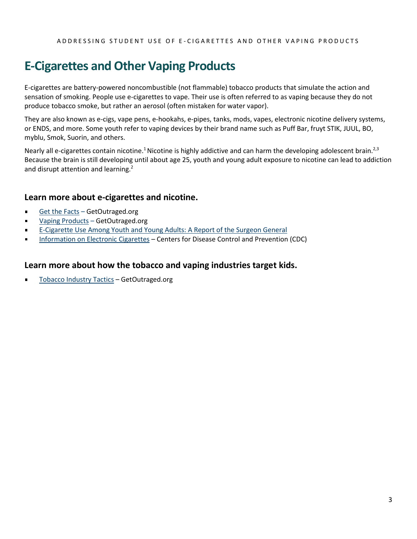### <span id="page-2-0"></span>**E-Cigarettes and Other Vaping Products**

E-cigarettes are battery-powered noncombustible (not flammable) tobacco products that simulate the action and sensation of smoking. People use e-cigarettes to vape. Their use is often referred to as vaping because they do not produce tobacco smoke, but rather an aerosol (often mistaken for water vapor).

They are also known as e-cigs, vape pens, e-hookahs, e-pipes, tanks, mods, vapes, electronic nicotine delivery systems, or ENDS, and more. Some youth refer to vaping devices by their brand name such as Puff Bar, fruyt STIK, JUUL, BO, myblu, Smok, Suorin, and others.

Nearly all e-cigarettes contain nicotine.<sup>1</sup> Nicotine is highly addictive and can harm the developing adolescent brain.<sup>2,3</sup> Because the brain is still developing until about age 25, youth and young adult exposure to nicotine can lead to addiction and disrupt attention and learning.<sup>2</sup>

### **Learn more about e-cigarettes and nicotine.**

- [Get the Facts](https://www.mass.gov/info-details/get-the-facts-about-youth-vaping) GetOutraged.org
- [Vaping Products](https://www.mass.gov/service-details/vapes-and-industry-tactics) GetOutraged.org  $\blacksquare$
- [E-Cigarette Use Among Youth and Young Adults: A Report of the Surgeon General](https://e-cigarettes.surgeongeneral.gov/default.htm)
- [Information on Electronic Cigarettes](https://www.cdc.gov/tobacco/basic_information/e-cigarettes/) Centers for Disease Control and Prevention (CDC)

### **Learn more about how the tobacco and vaping industries target kids.**

[Tobacco Industry Tactics](https://www.mass.gov/service-details/vapes-and-industry-tactics) – GetOutraged.org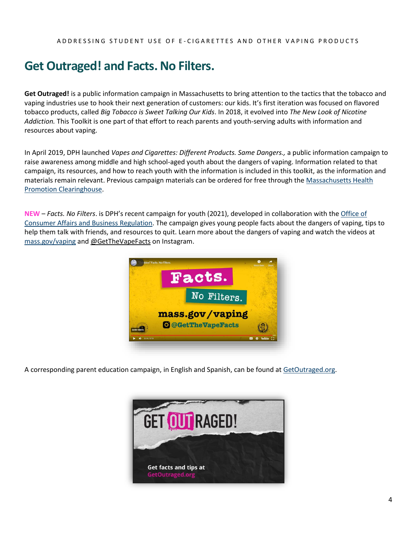### <span id="page-3-0"></span>**Get Outraged! and Facts. No Filters.**

**Get Outraged!** is a public information campaign in Massachusetts to bring attention to the tactics that the tobacco and vaping industries use to hook their next generation of customers: our kids. It's first iteration was focused on flavored tobacco products, called *Big Tobacco is Sweet Talking Our Kids*. In 2018, it evolved into *The New Look of Nicotine Addiction.* This Toolkit is one part of that effort to reach parents and youth-serving adults with information and resources about vaping.

In April 2019, DPH launched *Vapes and Cigarettes: Different Products. Same Dangers.,* a public information campaign to raise awareness among middle and high school-aged youth about the dangers of vaping. Information related to that campaign, its resources, and how to reach youth with the information is included in this toolkit, as the information and materials remain relevant. Previous campaign materials can be ordered for free through th[e Massachusetts Health](https://massclearinghouse.ehs.state.ma.us/category/Vaping.html)  Promotion [Clearinghouse.](https://massclearinghouse.ehs.state.ma.us/category/Vaping.html)

**NEW** – *Facts. No Filters*. is DPH's recent campaign for youth (2021), developed in collaboration with th[e Office of](https://www.mass.gov/orgs/office-of-consumer-affairs-and-business-regulation)  [Consumer Affairs and Business Regulation.](https://www.mass.gov/orgs/office-of-consumer-affairs-and-business-regulation) The campaign gives young people facts about the dangers of vaping, tips to help them talk with friends, and resources to quit. Learn more about the dangers of vaping and watch the videos at [mass.gov/vaping](http://www.mass.gov/vaping) and @GetTheVapeFacts on Instagram.



A corresponding parent education campaign, in English and Spanish, can be found at [GetOutraged.org.](http://www.mass.gov/get-outraged)

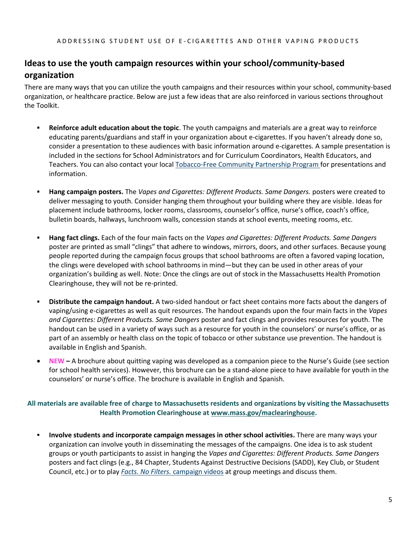### **Ideas to use the youth campaign resources within your school/community-based organization**

There are many ways that you can utilize the youth campaigns and their resources within your school, community-based organization, or healthcare practice. Below are just a few ideas that are also reinforced in various sections throughout the Toolkit.

- **Reinforce adult education about the topic**. The youth campaigns and materials are a great way to reinforce educating parents/guardians and staff in your organization about e-cigarettes. If you haven't already done so, consider a presentation to these audiences with basic information around e-cigarettes. A sample presentation is included in the sections for School Administrators and for Curriculum Coordinators, Health Educators, and Teachers. You can also contact your loca[l Tobacco-Free Community Partnership](http://makesmokinghistory.org/my-community/community-partnerships/) Program for presentations and information.
- **Hang campaign posters.** The *Vapes and Cigarettes: Different Products. Same Dangers.* posters were created to deliver messaging to youth. Consider hanging them throughout your building where they are visible. Ideas for placement include bathrooms, locker rooms, classrooms, counselor's office, nurse's office, coach's office, bulletin boards, hallways, lunchroom walls, concession stands at school events, meeting rooms, etc.
- **Hang fact clings.** Each of the four main facts on the *Vapes and Cigarettes: Different Products. Same Dangers* poster are printed as small "clings" that adhere to windows, mirrors, doors, and other surfaces. Because young people reported during the campaign focus groups that school bathrooms are often a favored vaping location, the clings were developed with school bathrooms in mind—but they can be used in other areas of your organization's building as well. Note: Once the clings are out of stock in the Massachusetts Health Promotion Clearinghouse, they will not be re-printed.
- **Distribute the campaign handout.** A two-sided handout or fact sheet contains more facts about the dangers of vaping/using e-cigarettes as well as quit resources. The handout expands upon the four main facts in the *Vapes and Cigarettes: Different Products. Same Dangers* poster and fact clings and provides resources for youth. The handout can be used in a variety of ways such as a resource for youth in the counselors' or nurse's office, or as part of an assembly or health class on the topic of tobacco or other substance use prevention. The handout is available in English and Spanish.
- **NEW –** A brochure about quitting vaping was developed as a companion piece to the Nurse's Guide (see section for school health services). However, this brochure can be a stand-alone piece to have available for youth in the counselors' or nurse's office. The brochure is available in English and Spanish.

### **All materials are available free of charge to Massachusetts residents and organizations by visiting the Massachusetts Health Promotion Clearinghouse at [www.mass.gov/maclearinghouse.](https://massclearinghouse.ehs.state.ma.us/category/Vaping.html)**

Involve students and incorporate campaign messages in other school activities. There are many ways your organization can involve youth in disseminating the messages of the campaigns. One idea is to ask student groups or youth participants to assist in hanging the *Vapes and Cigarettes: Different Products. Same Dangers* posters and fact clings (e.g., 84 Chapter, Students Against Destructive Decisions (SADD), Key Club, or Student Council, etc.) or to play *Facts. No Filters.* [campaign videos](https://www.youtube.com/playlist?list=PL54knlBH64ACbx-3ufAxQ8skynDuaXIyp) at group meetings and discuss them.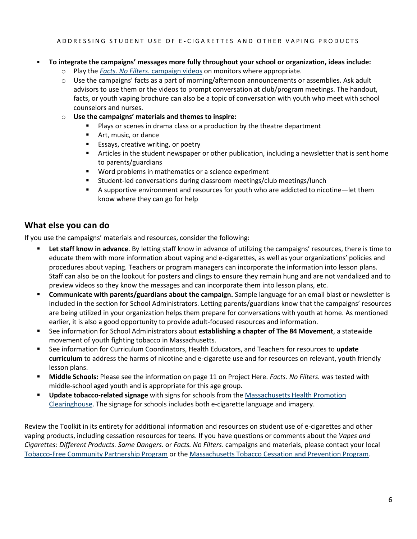### ▪ **To integrate the campaigns' messages more fully throughout your school or organization, ideas include:**

- o Play the *[Facts. No Filters.](https://www.youtube.com/playlist?list=PL54knlBH64ACbx-3ufAxQ8skynDuaXIyp)* campaign videos on monitors where appropriate.
- $\circ$  Use the campaigns' facts as a part of morning/afternoon announcements or assemblies. Ask adult advisors to use them or the videos to prompt conversation at club/program meetings. The handout, facts, or youth vaping brochure can also be a topic of conversation with youth who meet with school counselors and nurses.
- o **Use the campaigns' materials and themes to inspire:**
	- Plays or scenes in drama class or a production by the theatre department
	- Art, music, or dance
	- Essays, creative writing, or poetry
	- **EXECT** Articles in the student newspaper or other publication, including a newsletter that is sent home to parents/guardians
	- Word problems in mathematics or a science experiment
	- Student-led conversations during classroom meetings/club meetings/lunch
	- A supportive environment and resources for youth who are addicted to nicotine—let them know where they can go for help

### **What else you can do**

If you use the campaigns' materials and resources, consider the following:

- Let staff know in advance. By letting staff know in advance of utilizing the campaigns' resources, there is time to educate them with more information about vaping and e-cigarettes, as well as your organizations' policies and procedures about vaping. Teachers or program managers can incorporate the information into lesson plans. Staff can also be on the lookout for posters and clings to ensure they remain hung and are not vandalized and to preview videos so they know the messages and can incorporate them into lesson plans, etc.
- **EXECOMMUNICATE WITH PATE IS 2018 THE COMMUNICE: Communicate with parameter is** communicate with parents/guardians about the campaign. Sample language for an email blast or newsletter is included in the section for School Administrators. Letting parents/guardians know that the campaigns' resources are being utilized in your organization helps them prepare for conversations with youth at home. As mentioned earlier, it is also a good opportunity to provide adult-focused resources and information.
- See information for School Administrators about **establishing a chapter of The 84 Movement**, a statewide movement of youth fighting tobacco in Massachusetts.
- See information for Curriculum Coordinators, Health Educators, and Teachers for resources to **update curriculum** to address the harms of nicotine and e-cigarette use and for resources on relevant, youth friendly lesson plans.
- **EXEDMIDE Schools:** Please see the information on page 11 on Project Here. *Facts. No Filters*. was tested with middle-school aged youth and is appropriate for this age group.
- **Update tobacco-related signage** with signs for schools from the Massachusetts Health Promotion [Clearinghouse.](https://massclearinghouse.ehs.state.ma.us/category/TOB.html) The signage for schools includes both e-cigarette language and imagery.

Review the Toolkit in its entirety for additional information and resources on student use of e-cigarettes and other vaping products, including cessation resources for teens. If you have questions or comments about the *Vapes and Cigarettes: Different Products. Same Dangers.* or *Facts. No Filters*. campaigns and materials, please contact your local [Tobacco-Free Community Partnership Program](http://makesmokinghistory.org/my-community/community-partnerships/) or th[e Massachusetts Tobacco Cessation and Prevention Program.](mailto:rachel.cohen01@mass.gov)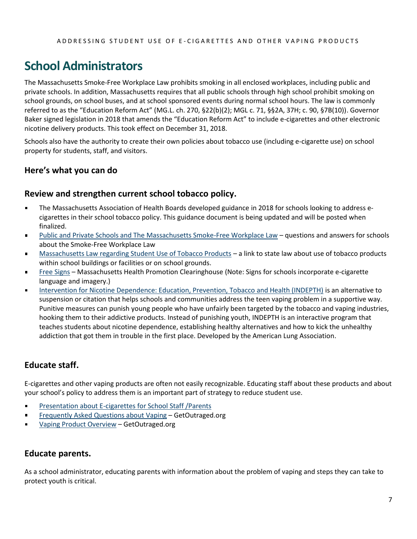### <span id="page-6-0"></span>**School Administrators**

The Massachusetts Smoke-Free Workplace Law prohibits smoking in all enclosed workplaces, including public and private schools. In addition, Massachusetts requires that all public schools through high school prohibit smoking on school grounds, on school buses, and at school sponsored events during normal school hours. The law is commonly referred to as the "Education Reform Act" (MG.L. ch. 270, §22(b)(2); MGL c. 71, §§2A, 37H; c. 90, §7B(10)). Governor Baker signed legislation in 2018 that amends the "Education Reform Act" to include e-cigarettes and other electronic nicotine delivery products. This took effect on December 31, 2018.

Schools also have the authority to create their own policies about tobacco use (including e-cigarette use) on school property for students, staff, and visitors.

### **Here's what you can do**

### **Review and strengthen current school tobacco policy.**

- The Massachusetts Association of Health Boards developed guidance in 2018 for schools looking to address ecigarettes in their school tobacco policy. This guidance document is being updated and will be posted when finalized.
- [Public and Private Schools and The Massachusetts Smoke-Free Workplace Law](https://www.mass.gov/doc/public-and-private-schools-and-the-massachusetts-smoke-free-workplace-law-0/download) questions and answers for schools about the Smoke-Free Workplace Law
- [Massachusetts Law regarding Student Use of Tobacco Products](https://malegislature.gov/Laws/GeneralLaws/PartI/TitleXII/Chapter71/Section2A) a link to state law about use of tobacco products  $\blacksquare$ within school buildings or facilities or on school grounds.
- [Free Signs](http://massclearinghouse.ehs.state.ma.us/category/TOB.html) Massachusetts Health Promotion Clearinghouse (Note: Signs for schools incorporate e-cigarette  $\blacksquare$ language and imagery.)
- [Intervention for Nicotine Dependence: Education, Prevention, Tobacco and Health \(INDEPTH\)](https://www.lung.org/stop-smoking/helping-teens-quit/indepth.html) is an alternative to  $\blacksquare$ suspension or citation that helps schools and communities address the teen vaping problem in a supportive way. Punitive measures can punish young people who have unfairly been targeted by the tobacco and vaping industries, hooking them to their addictive products. Instead of punishing youth, INDEPTH is an interactive program that teaches students about nicotine dependence, establishing healthy alternatives and how to kick the unhealthy addiction that got them in trouble in the first place. Developed by the American Lung Association.

### **Educate staff.**

E-cigarettes and other vaping products are often not easily recognizable. Educating staff about these products and about your school's policy to address them is an important part of strategy to reduce student use.

- [Presentation about E-cigarettes for School Staff /Parents](https://www.mass.gov/doc/vaping-presentation/download)  $\blacksquare$
- $\blacksquare$ [Frequently Asked Questions about Vaping](https://www.mass.gov/info-details/get-the-facts-about-youth-vaping) – GetOutraged.org
- $\blacksquare$ [Vaping Product Overview](https://www.mass.gov/service-details/vapes-and-industry-tactics) – GetOutraged.org

### **Educate parents.**

As a school administrator, educating parents with information about the problem of vaping and steps they can take to protect youth is critical.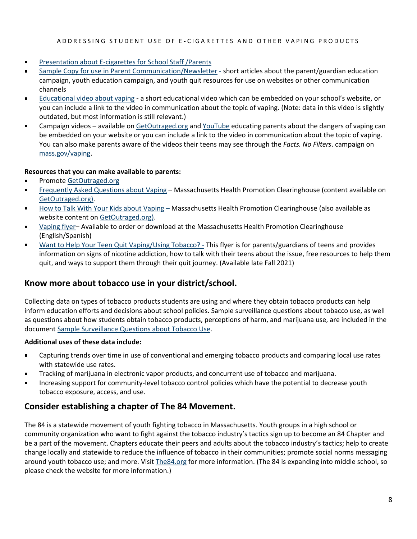#### ADDRESSING STUDENT USE OF E-CIGARETTES AND OTHER VAPING PRODUCTS

- [Presentation about E-cigarettes](https://www.mass.gov/doc/vaping-presentation/download) for School Staff /Parents  $\blacksquare$
- [Sample Copy for use in Parent Communication/Newsletter](https://www.mass.gov/doc/get-outraged-sample-articles-for-parent-newslettersemail-communication) short articles about the parent/guardian education campaign, youth education campaign, and youth quit resources for use on websites or other communication channels
- [Educational video about vaping](https://www.youtube.com/watch?v=e_VqeXf2P8A) **-** a short educational video which can be embedded on your school's website, or you can include a link to the video in communication about the topic of vaping. (Note: data in this video is slightly outdated, but most information is still relevant.)
- Campaign videos available on [GetOutraged.org](http://www.mass.gov/get-outraged) and [YouTube](https://www.youtube.com/playlist?list=PL54knlBH64ACEFZN4nHWKg5vCardpBbOi) educating parents about the dangers of vaping can  $\blacksquare$ be embedded on your website or you can include a link to the video in communication about the topic of vaping. You can also make parents aware of the videos their teens may see through the *Facts. No Filters*. campaign on [mass.gov/vaping.](http://www.mass.gov/vaping)

### **Resources that you can make available to parents:**

- $\blacksquare$ Promote [GetOutraged.org](http://www.mass.gov/get-outraged)
- [Frequently Asked Questions about Vaping](https://www.mass.gov/info-details/get-the-facts-about-youth-vaping) Massachusetts Health Promotion Clearinghouse (content available on  $\blacksquare$ [GetOutraged.org\)](http://www.mass.gov/get-outraged).
- [How to Talk With Your Kids about Vaping](https://www.mass.gov/service-details/information-about-youth-vaping-for-parentsguardians) Massachusetts Health Promotion Clearinghouse (also available as website content o[n GetOutraged.org\)](https://www.mass.gov/service-details/information-about-youth-vaping-for-parentsguardians).
- [Vaping flyer](http://massclearinghouse.ehs.state.ma.us/product/TC3477.html) Available to order or download at the Massachusetts Health Promotion Clearinghouse (English/Spanish)
- [Want to Help Your Teen Quit Vaping/Using Tobacco? -](https://massclearinghouse.ehs.state.ma.us/PROG-TOB/TC3486kit.html) This flyer is for parents/guardians of teens and provides  $\blacksquare$ information on signs of nicotine addiction, how to talk with their teens about the issue, free resources to help them quit, and ways to support them through their quit journey. (Available late Fall 2021)

### **Know more about tobacco use in your district/school.**

Collecting data on types of tobacco products students are using and where they obtain tobacco products can help inform education efforts and decisions about school policies. Sample surveillance questions about tobacco use, as well as questions about how students obtain tobacco products, perceptions of harm, and marijuana use, are included in the document Sample [Surveillance Questions about Tobacco Use.](https://www.mass.gov/doc/surveying-students-about-emerging-tobacco-use-rationale-and-suggested-questions)

### **Additional uses of these data include:**

- Capturing trends over time in use of conventional and emerging tobacco products and comparing local use rates  $\blacksquare$ with statewide use rates.
- Tracking of marijuana in electronic vapor products, and concurrent use of tobacco and marijuana.
- Increasing support for community-level tobacco control policies which have the potential to decrease youth tobacco exposure, access, and use.

### **Consider establishing a chapter of The 84 Movement.**

The 84 is a statewide movement of youth fighting tobacco in Massachusetts. Youth groups in a high school or community organization who want to fight against the tobacco industry's tactics sign up to become an 84 Chapter and be a part of the movement. Chapters educate their peers and adults about the tobacco industry's tactics; help to create change locally and statewide to reduce the influence of tobacco in their communities; promote social norms messaging around youth tobacco use; and more. Visi[t The84.org](http://the84.org/) for more information. (The 84 is expanding into middle school, so please check the website for more information.)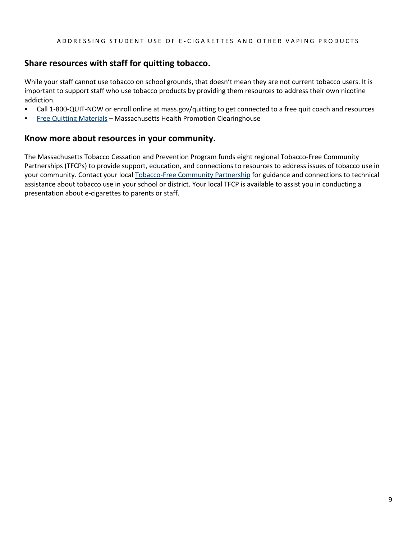### **Share resources with staff for quitting tobacco.**

While your staff cannot use tobacco on school grounds, that doesn't mean they are not current tobacco users. It is important to support staff who use tobacco products by providing them resources to address their own nicotine addiction.

- Call 1-800-QUIT-NOW or enroll online at mass.gov/quitting to get connected to a free quit coach and resources
- **[Free Quitting Materials](http://massclearinghouse.ehs.state.ma.us/category/TOB.html) Massachusetts Health Promotion Clearinghouse**

### **Know more about resources in your community.**

The Massachusetts Tobacco Cessation and Prevention Program funds eight regional Tobacco-Free Community Partnerships (TFCPs) to provide support, education, and connections to resources to address issues of tobacco use in your community. Contact your local [Tobacco-Free Community Partnership](http://makesmokinghistory.org/my-community/community-partnerships/) for guidance and connections to technical assistance about tobacco use in your school or district. Your local TFCP is available to assist you in conducting a presentation about e-cigarettes to parents or staff.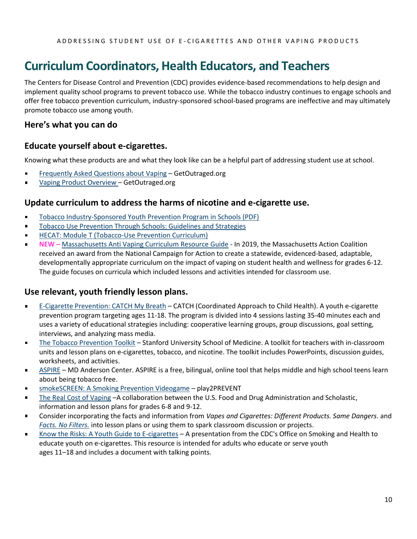### <span id="page-9-0"></span>**Curriculum Coordinators, Health Educators, and Teachers**

The Centers for Disease Control and Prevention (CDC) provides evidence-based recommendations to help design and implement quality school programs to prevent tobacco use. While the tobacco industry continues to engage schools and offer free tobacco prevention curriculum, industry-sponsored school-based programs are ineffective and may ultimately promote tobacco use among youth.

### **Here's what you can do**

### **Educate yourself about e-cigarettes.**

Knowing what these products are and what they look like can be a helpful part of addressing student use at school.

- [Frequently Asked Questions about Vaping](https://www.mass.gov/info-details/get-the-facts-about-youth-vaping) GetOutraged.org
- [Vaping Product Overview](https://www.mass.gov/service-details/vapes-and-industry-tactics) GetOutraged.org  $\blacksquare$

### **Update curriculum to address the harms of nicotine and e-cigarette use.**

- $\blacksquare$ [Tobacco Industry-Sponsored Youth Prevention Program in Schools \(PDF\)](https://www.cdc.gov/tobacco/basic_information/youth/evidence-brief/pdfs/tobacco-industry-sponsored-youth-prevention-programs-p.pdf)
- [Tobacco Use Prevention Through Schools: Guidelines and Strategies](https://www.cdc.gov/mmwr/preview/mmwrhtml/00026213.htm)  $\blacksquare$
- [HECAT: Module T \(Tobacco-Use Prevention Curriculum\)](https://www.cdc.gov/healthyyouth/hecat/pdf/hecat_module_t.pdf)
- **NEW –** [Massachusetts Anti Vaping Curriculum Resource Guide](https://www.norton.k12.ma.us/uploaded/District/MAAntiVapingCurriculumGuideMay2021FinalVersion.pdf) In 2019, the Massachusetts Action Coalition  $\blacksquare$ received an award from the National Campaign for Action to create a statewide, evidenced-based, adaptable, developmentally appropriate curriculum on the impact of vaping on student health and wellness for grades 6-12. The guide focuses on curricula which included lessons and activities intended for classroom use.

### **Use relevant, youth friendly lesson plans.**

- $\blacksquare$ [E-Cigarette Prevention: CATCH My Breath](https://catchinfo.org/modules/e-cigarettes/) – CATCH (Coordinated Approach to Child Health). A youth e-cigarette prevention program targeting ages 11-18. The program is divided into 4 sessions lasting 35-40 minutes each and uses a variety of educational strategies including: cooperative learning groups, group discussions, goal setting, interviews, and analyzing mass media.
- [The Tobacco Prevention Toolkit](https://med.stanford.edu/tobaccopreventiontoolkit.html) Stanford University School of Medicine. A toolkit for teachers with in-classroom  $\blacksquare$ units and lesson plans on e-cigarettes, tobacco, and nicotine. The toolkit includes PowerPoints, discussion guides, worksheets, and activities.
- [ASPIRE](https://www.mdanderson.org/about-md-anderson/community-services/aspire.html) MD Anderson Center. ASPIRE is a free, bilingual, online tool that helps middle and high school teens learn about being tobacco free.
- [smokeSCREEN: A Smoking Prevention Videogame](https://www.smokescreengame.org/) play2PREVENT
- [The Real Cost of Vaping](https://www.scholastic.com/youthvapingrisks/) –A collaboration between the U.S. Food and Drug Administration and Scholastic,  $\blacksquare$ information and lesson plans for grades 6-8 and 9-12.
- Consider incorporating the facts and information from *Vapes and Cigarettes: Different Products. Same Dangers*. and *[Facts. No Filters.](http://www.mass.gov/vaping)* into lesson plans or using them to spark classroom discussion or projects.
- [Know the Risks: A Youth Guide to E-cigarettes](http://bit.ly/2W63xP7) A presentation from the CDC's Office on Smoking and Health to  $\blacksquare$ educate youth on e-cigarettes. This resource is intended for adults who educate or serve youth ages 11–18 and includes a document with talking points.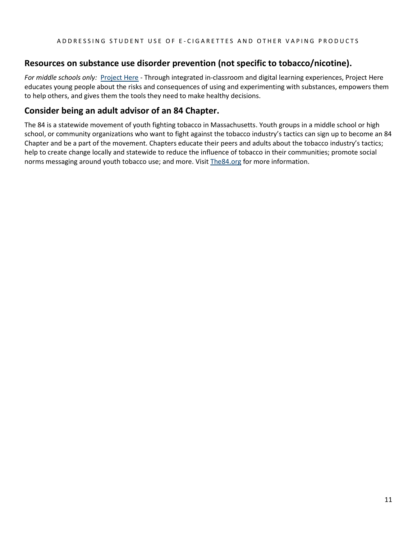### **Resources on substance use disorder prevention (not specific to tobacco/nicotine).**

*For middle schools only:* [Project Here](https://www.mass.gov/project-here-substance-use-prevention-education) - Through integrated in-classroom and digital learning experiences, Project Here educates young people about the risks and consequences of using and experimenting with substances, empowers them to help others, and gives them the tools they need to make healthy decisions.

### **Consider being an adult advisor of an 84 Chapter.**

The 84 is a statewide movement of youth fighting tobacco in Massachusetts. Youth groups in a middle school or high school, or community organizations who want to fight against the tobacco industry's tactics can sign up to become an 84 Chapter and be a part of the movement. Chapters educate their peers and adults about the tobacco industry's tactics; help to create change locally and statewide to reduce the influence of tobacco in their communities; promote social norms messaging around youth tobacco use; and more. Visit [The84.org](http://the84.org/) for more information.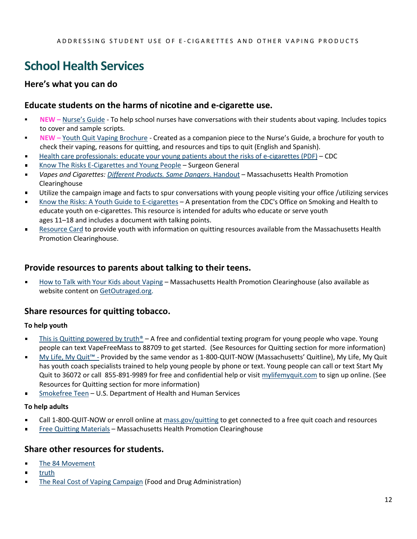### <span id="page-11-0"></span>**School Health Services**

### **Here's what you can do**

### **Educate students on the harms of nicotine and e-cigarette use.**

- **NEW –** [Nurse's Guide](https://massclearinghouse.ehs.state.ma.us/PROG-TOB/TC3485.html) To help school nurses have conversations with their students about vaping. Includes topics to cover and sample scripts.
- **NEW** [Youth Quit Vaping Brochure](https://massclearinghouse.ehs.state.ma.us/PROG-TOB/TC3488kit.html) Created as a companion piece to the Nurse's Guide, a brochure for youth to check their vaping, reasons for quitting, and resources and tips to quit (English and Spanish).
- [Health care professionals: educate your young patients about the risks of e-cigarettes \(PDF\)](https://e-cigarettes.surgeongeneral.gov/documents/SGR_E-Cig_Health_Care_Provider_Card_508.pdf) CDC
- [Know The Risks E-Cigarettes and Young People](https://e-cigarettes.surgeongeneral.gov/default.htm) Surgeon General
- *Vapes and Cigarettes[: Different Products. Same Dangers](https://massclearinghouse.ehs.state.ma.us/category/Vaping.html)*. Handout Massachusetts Health Promotion Clearinghouse
- Utilize the campaign image and facts to spur conversations with young people visiting your office /utilizing services  $\blacksquare$
- [Know the Risks: A Youth Guide to E-cigarettes](http://bit.ly/2W63xP7) A presentation from the CDC's Office on Smoking and Health to  $\blacksquare$ educate youth on e-cigarettes. This resource is intended for adults who educate or serve youth ages 11–18 and includes a document with talking points.
- [Resource Card](https://massclearinghouse.ehs.state.ma.us/mm5/merchant.mvc?Screen=PROD&Product_Code=TC3484) to provide youth with information on quitting resources available from the Massachusetts Health  $\blacksquare$ Promotion Clearinghouse.

### **Provide resources to parents about talking to their teens.**

[How to Talk with Your Kids](http://massclearinghouse.ehs.state.ma.us/product/TC3479.html) about Vaping – Massachusetts Health Promotion Clearinghouse (also available as website content o[n GetOutraged.org.](https://www.mass.gov/service-details/information-about-youth-vaping-for-parentsguardians)

### **Share resources for quitting tobacco.**

### **To help youth**

- [This is Quitting](https://truthinitiative.org/thisisquitting) powered by truth<sup>®</sup> A free and confidential texting program for young people who vape. Young  $\blacksquare$ people can text VapeFreeMass to 88709 to get started. (See Resources for Quitting section for more information)
- [My Life, My Quit™](http://www.mylifemyquit.com/) Provided by the same vendor as 1-800-QUIT-NOW (Massachusetts' Quitline), My Life, My Quit  $\blacksquare$ has youth coach specialists trained to help young people by phone or text. Young people can call or text Start My Quit to 36072 or call 855-891-9989 for free and confidential help or visi[t mylifemyquit.com](http://www.mylifemyquit.com/) to sign up online. (See Resources for Quitting section for more information)
- [Smokefree Teen](https://teen.smokefree.gov/) U.S. Department of Health and Human Services

### **To help adults**

- Call 1-800-QUIT-NOW or enroll online at [mass.gov/quitting](http://www.mass.gov/quitting) to get connected to a free quit coach and resources  $\blacksquare$
- [Free Quitting](https://massclearinghouse.ehs.state.ma.us/category/TOBCES.html) Materials Massachusetts Health Promotion Clearinghouse  $\blacksquare$

### **Share other resources for students.**

- $\blacksquare$ [The 84 Movement](https://the84.org/)
- $\blacksquare$ [truth](https://www.thetruth.com/)
- $\blacksquare$ [The Real Cost of Vaping Campaign](https://therealcost.betobaccofree.hhs.gov/) (Food and Drug Administration)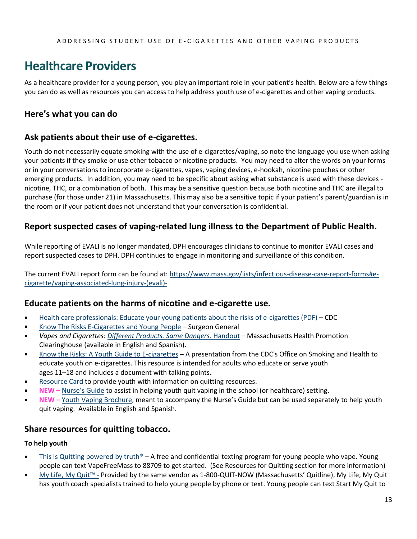### <span id="page-12-0"></span>**Healthcare Providers**

As a healthcare provider for a young person, you play an important role in your patient's health. Below are a few things you can do as well as resources you can access to help address youth use of e-cigarettes and other vaping products.

### **Here's what you can do**

### **Ask patients about their use of e-cigarettes.**

Youth do not necessarily equate smoking with the use of e-cigarettes/vaping, so note the language you use when asking your patients if they smoke or use other tobacco or nicotine products. You may need to alter the words on your forms or in your conversations to incorporate e-cigarettes, vapes, vaping devices, e-hookah, nicotine pouches or other emerging products. In addition, you may need to be specific about asking what substance is used with these devices nicotine, THC, or a combination of both. This may be a sensitive question because both nicotine and THC are illegal to purchase (for those under 21) in Massachusetts. This may also be a sensitive topic if your patient's parent/guardian is in the room or if your patient does not understand that your conversation is confidential.

### **Report suspected cases of vaping-related lung illness to the Department of Public Health.**

While reporting of EVALI is no longer mandated, DPH encourages clinicians to continue to monitor EVALI cases and report suspected cases to DPH. DPH continues to engage in monitoring and surveillance of this condition.

The current EVALI report form can be found at: [https://www.mass.gov/lists/infectious-disease-case-report-forms#e](https://www.mass.gov/lists/infectious-disease-case-report-forms#e-cigarette/vaping-associated-lung-injury-(evali)-)[cigarette/vaping-associated-lung-injury-\(evali\)-](https://www.mass.gov/lists/infectious-disease-case-report-forms#e-cigarette/vaping-associated-lung-injury-(evali)-)

### **Educate patients on the harms of nicotine and e-cigarette use.**

- [Health care professionals: Educate your young patients about the risks of e-cigarettes \(PDF\)](https://e-cigarettes.surgeongeneral.gov/documents/SGR_E-Cig_Health_Care_Provider_Card_508.pdf) CDC  $\blacksquare$
- [Know The Risks E-Cigarettes and Young People](https://e-cigarettes.surgeongeneral.gov/default.htm) Surgeon General  $\blacksquare$
- *Vapes and Cigarettes[: Different Products. Same Dangers](https://massclearinghouse.ehs.state.ma.us/category/Vaping.html)*. Handout Massachusetts Health Promotion Clearinghouse (available in English and Spanish).
- [Know the Risks: A Youth Guide to E-cigarettes](http://bit.ly/2W63xP7) A presentation from the CDC's Office on Smoking and Health to  $\blacksquare$ educate youth on e-cigarettes. This resource is intended for adults who educate or serve youth ages 11–18 and includes a document with talking points.
- [Resource Card](https://massclearinghouse.ehs.state.ma.us/mm5/merchant.mvc?Screen=PROD&Product_Code=TC3484) to provide youth with information on quitting resources.
- **NEW –** [Nurse's Guide](https://massclearinghouse.ehs.state.ma.us/PROG-TOB/TC3485.html) to assist in helping youth quit vaping in the school (or healthcare) setting.
- $\blacksquare$ **NEW –** [Youth Vaping Brochure](https://massclearinghouse.ehs.state.ma.us/PROG-TOB/TC3488.html), meant to accompany the Nurse's Guide but can be used separately to help youth quit vaping. Available in English and Spanish.

### **Share resources for quitting tobacco.**

#### **To help youth**

- [This is Quitting](http://www.thisisquitting.com/) powered by truth<sup>®</sup> A free and confidential texting program for young people who vape. Young people can text VapeFreeMass to 88709 to get started. (See Resources for Quitting section for more information)
- $\blacksquare$ [My Life, My Quit™](http://www.mylifemyquit.com/) - Provided by the same vendor as 1-800-QUIT-NOW (Massachusetts' Quitline), My Life, My Quit has youth coach specialists trained to help young people by phone or text. Young people can text Start My Quit to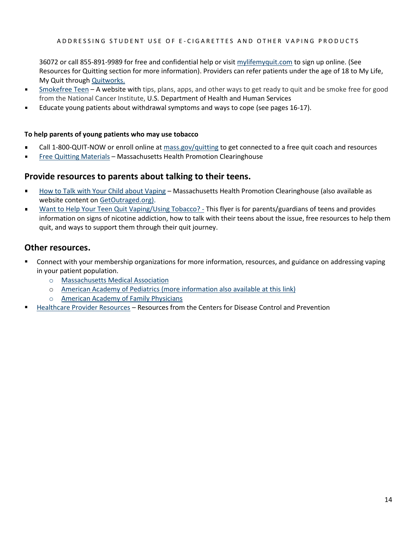36072 or call 855-891-9989 for free and confidential help or visit [mylifemyquit.com](http://www.mylifemyquit.com/) to sign up online. (See Resources for Quitting section for more information). Providers can refer patients under the age of 18 to My Life, My Quit throug[h Quitworks.](http://quitworks.makesmokinghistory.org/Get-Started/enroll-patients.html)

- [Smokefree Teen](https://teen.smokefree.gov/) A website with tips, plans, apps, and other ways to get ready to quit and be smoke free for good  $\blacksquare$ from the National Cancer Institute, U.S. Department of Health and Human Services
- Educate young patients about withdrawal symptoms and ways to cope (see pages 16-17).  $\blacksquare$

#### **To help parents of young patients who may use tobacco**

- Call 1-800-QUIT-NOW or enroll online at [mass.gov/quitting](http://www.mass.gov/quitting) to get connected to a free quit coach and resources
- [Free Quitting](https://massclearinghouse.ehs.state.ma.us/category/TOBCES.html) Materials Massachusetts Health Promotion Clearinghouse

### **Provide resources to parents about talking to their teens.**

- [How to Talk with Your Child about Vaping](http://massclearinghouse.ehs.state.ma.us/product/TC3479.html) Massachusetts Health Promotion Clearinghouse (also available as website content o[n GetOutraged.org\)](https://www.mass.gov/service-details/information-about-youth-vaping-for-parentsguardians).
- [Want to Help Your Teen Quit Vaping/Using Tobacco? -](https://massclearinghouse.ehs.state.ma.us/PROG-TOB/TC3486kit.html) This flyer is for parents/guardians of teens and provides  $\blacksquare$ information on signs of nicotine addiction, how to talk with their teens about the issue, free resources to help them quit, and ways to support them through their quit journey.

### **Other resources.**

- Connect with your membership organizations for more information, resources, and guidance on addressing vaping in your patient population.
	- o [Massachusetts Medical Association](https://www.massmed.org/Patient-Care/Health-Topics/Tobacco,-Smoking,-and-Vaping/Tobacco,-Smoking,-and-Vaping/)
	- o [American Academy of Pediatrics](https://www.aap.org/en-us/advocacy-and-policy/aap-health-initiatives/Richmond-Center/Pages/Electronic-Nicotine-Delivery-Systems.aspx) (more information also available at this [link\)](https://www.aap.org/en/patient-care/tobacco-control-and-prevention/e-cigarettes-and-vaping/)
	- o [American Academy of Family Physicians](https://www.aafp.org/about/policies/all/electronic-nicotine-delivery-systems.html)
- [Healthcare Provider Resources](https://www.cdc.gov/tobacco/basic_information/for-health-care-providers/index.html) Resources from the Centers for Disease Control and Prevention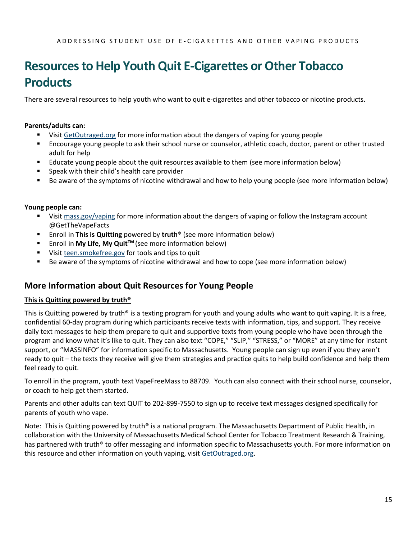### <span id="page-14-0"></span>**Resources to Help Youth Quit E-Cigarettes or Other Tobacco Products**

There are several resources to help youth who want to quit e-cigarettes and other tobacco or nicotine products.

### **Parents/adults can:**

- Visit [GetOutraged.org](http://www.mass.gov/get-outraged) for more information about the dangers of vaping for young people
- Encourage young people to ask their school nurse or counselor, athletic coach, doctor, parent or other trusted adult for help
- Educate young people about the quit resources available to them (see more information below)
- Speak with their child's health care provider
- Be aware of the symptoms of nicotine withdrawal and how to help young people (see more information below)

#### **Young people can:**

- Visit [mass.gov/vaping](http://www.mass.gov/vaping) for more information about the dangers of vaping or follow the Instagram account @GetTheVapeFacts
- Enroll in This is Quitting powered by truth<sup>®</sup> (see more information below)
- Enroll in My Life, My Quit<sup>™</sup> (see more information below)
- Visit [teen.smokefree.gov](file://///DPH-FP-CO-121/DPH3/BSAS/Groups/MTCP/Communications/Campaigns%20and%20media%20opportunities/Vaping_youth%202018-19/Other%20campaign%20materials/Toolkit%20updates/Tool%20Kit/teen.smokefree.gov) for tools and tips to quit
- Be aware of the symptoms of nicotine withdrawal and how to cope (see more information below)

### **More Information about Quit Resources for Young People**

### **This is Quitting powered by truth®**

This is Quitting powered by truth<sup>®</sup> is a texting program for youth and young adults who want to quit vaping. It is a free, confidential 60-day program during which participants receive texts with information, tips, and support. They receive daily text messages to help them prepare to quit and supportive texts from young people who have been through the program and know what it's like to quit. They can also text "COPE," "SLIP," "STRESS," or "MORE" at any time for instant support, or "MASSINFO" for information specific to Massachusetts. Young people can sign up even if you they aren't ready to quit – the texts they receive will give them strategies and practice quits to help build confidence and help them feel ready to quit.

To enroll in the program, youth text VapeFreeMass to 88709. Youth can also connect with their school nurse, counselor, or coach to help get them started.

Parents and other adults can text QUIT to 202-899-7550 to sign up to receive text messages designed specifically for parents of youth who vape.

Note: This is Quitting powered by truth® is a national program. The Massachusetts Department of Public Health, in collaboration with the University of Massachusetts Medical School Center for Tobacco Treatment Research & Training, has partnered with truth<sup>®</sup> to offer messaging and information specific to Massachusetts youth. For more information on this resource and other information on youth vaping, visit [GetOutraged.org.](http://www.mass.gov/get-outraged)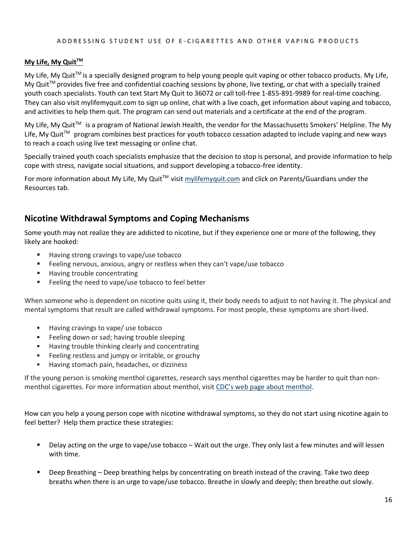#### A D D R E S SING STUD ENT USE OF E-CIGARETTES AND OTHER VAPING PRODUCTS

#### **My Life, My QuitTM**

My Life, My Quit™ is a specially designed program to help young people quit vaping or other tobacco products. My Life, My Quit<sup>TM</sup> provides five free and confidential coaching sessions by phone, live texting, or chat with a specially trained youth coach specialists. Youth can text Start My Quit to 36072 or call toll-free 1-855-891-9989 for real-time coaching. They can also visit mylifemyquit.com to sign up online, chat with a live coach, get information about vaping and tobacco, and activities to help them quit. The program can send out materials and a certificate at the end of the program.

My Life, My Quit<sup>™</sup> is a program of National Jewish Health, the vendor for the Massachusetts Smokers' Helpline. The My Life, My Quit<sup>™</sup> program combines best practices for youth tobacco cessation adapted to include vaping and new ways to reach a coach using live text messaging or online chat.

Specially trained youth coach specialists emphasize that the decision to stop is personal, and provide information to help cope with stress, navigate social situations, and support developing a tobacco-free identity.

For more information about My Life, My Quit<sup>™</sup> visi[t mylifemyquit.com](file:///C:/Users/RCohen01/AppData/Local/Microsoft/Windows/INetCache/Content.Outlook/QDRNXI2A/mylifemyquit.com) and click on Parents/Guardians under the Resources tab.

### **Nicotine Withdrawal Symptoms and Coping Mechanisms**

Some youth may not realize they are addicted to nicotine, but if they experience one or more of the following, they likely are hooked:

- Having strong cravings to vape/use tobacco
- Feeling nervous, anxious, angry or restless when they can't vape/use tobacco
- Having trouble concentrating
- Feeling the need to vape/use tobacco to feel better

When someone who is dependent on nicotine quits using it, their body needs to adjust to not having it. The physical and mental symptoms that result are called withdrawal symptoms. For most people, these symptoms are short-lived.

- Having cravings to vape/ use tobacco
- Feeling down or sad; having trouble sleeping
- Having trouble thinking clearly and concentrating
- Feeling restless and jumpy or irritable, or grouchy
- Having stomach pain, headaches, or dizziness

If the young person is smoking menthol cigarettes, research says menthol cigarettes may be harder to quit than nonmenthol cigarettes. For more information about menthol, visit [CDC's web page about menthol](https://www.cdc.gov/tobacco/basic_information/tobacco_industry/menthol-cigarettes/index.html).

How can you help a young person cope with nicotine withdrawal symptoms, so they do not start using nicotine again to feel better? Help them practice these strategies:

- Delay acting on the urge to vape/use tobacco Wait out the urge. They only last a few minutes and will lessen with time.
- Deep Breathing Deep breathing helps by concentrating on breath instead of the craving. Take two deep breaths when there is an urge to vape/use tobacco. Breathe in slowly and deeply; then breathe out slowly.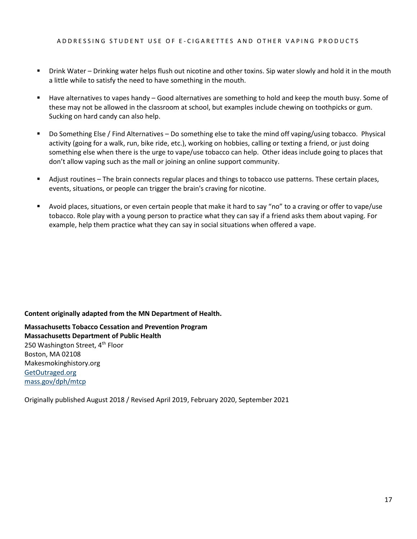- Drink Water Drinking water helps flush out nicotine and other toxins. Sip water slowly and hold it in the mouth a little while to satisfy the need to have something in the mouth.
- Have alternatives to vapes handy Good alternatives are something to hold and keep the mouth busy. Some of these may not be allowed in the classroom at school, but examples include chewing on toothpicks or gum. Sucking on hard candy can also help.
- Do Something Else / Find Alternatives Do something else to take the mind off vaping/using tobacco. Physical activity (going for a walk, run, bike ride, etc.), working on hobbies, calling or texting a friend, or just doing something else when there is the urge to vape/use tobacco can help. Other ideas include going to places that don't allow vaping such as the mall or joining an online support community.
- Adjust routines The brain connects regular places and things to tobacco use patterns. These certain places, events, situations, or people can trigger the brain's craving for nicotine.
- Avoid places, situations, or even certain people that make it hard to say "no" to a craving or offer to vape/use tobacco. Role play with a young person to practice what they can say if a friend asks them about vaping. For example, help them practice what they can say in social situations when offered a vape.

**Content originally adapted from the MN Department of Health.**

**Massachusetts Tobacco Cessation and Prevention Program Massachusetts Department of Public Health** 250 Washington Street, 4<sup>th</sup> Floor Boston, MA 02108 Makesmokinghistory.org [GetOutraged.org](http://www.mass.gov/get-outraged) [mass.gov/dph/mtcp](https://www.mass.gov/massachusetts-tobacco-cessation-and-prevention-program-mtcp)

<span id="page-16-0"></span>Originally published August 2018 / Revised April 2019, February 2020, September 2021